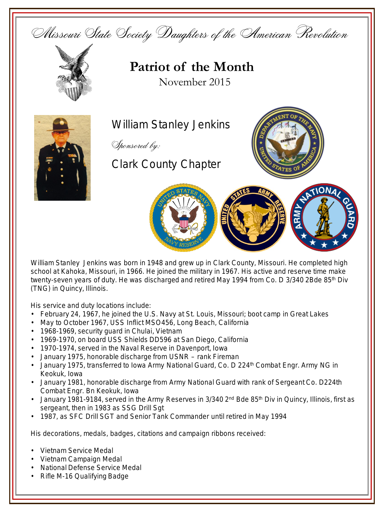



William Stanley Jenkins



Clark County Chapter





school at Kahoka, Missouri, in 1966. He joined the military in 1967. His active and reserve time make twenty-seven years of duty. He was discharged and retired May 1994 from Co. D 3/340 2Bde 85<sup>th</sup> Div (TNG) in Quincy, Illinois.

His service and duty locations include:

- February 24, 1967, he joined the U.S. Navy at St. Louis, Missouri; boot camp in Great Lakes
- May to October 1967, USS Inflict MSO456, Long Beach, California
- 1968-1969, security guard in Chulai, Vietnam
- 1969-1970, on board USS Shields DD596 at San Diego, California
- 1970-1974, served in the Naval Reserve in Davenport, Iowa
- January 1975, honorable discharge from USNR rank Fireman
- January 1975, transferred to Iowa Army National Guard, Co. D 224<sup>th</sup> Combat Engr. Army NG in Keokuk, Iowa
- January 1981, honorable discharge from Army National Guard with rank of Sergeant Co. D224th Combat Engr. Bn Keokuk, Iowa
- January 1981-9184, served in the Army Reserves in 3/340 2<sup>nd</sup> Bde 85<sup>th</sup> Div in Quincy, Illinois, first as sergeant, then in 1983 as SSG Drill Sgt
- 1987, as SFC Drill SGT and Senior Tank Commander until retired in May 1994

His decorations, medals, badges, citations and campaign ribbons received:

- Vietnam Service Medal
- Vietnam Campaign Medal
- National Defense Service Medal
- Rifle M-16 Qualifying Badge